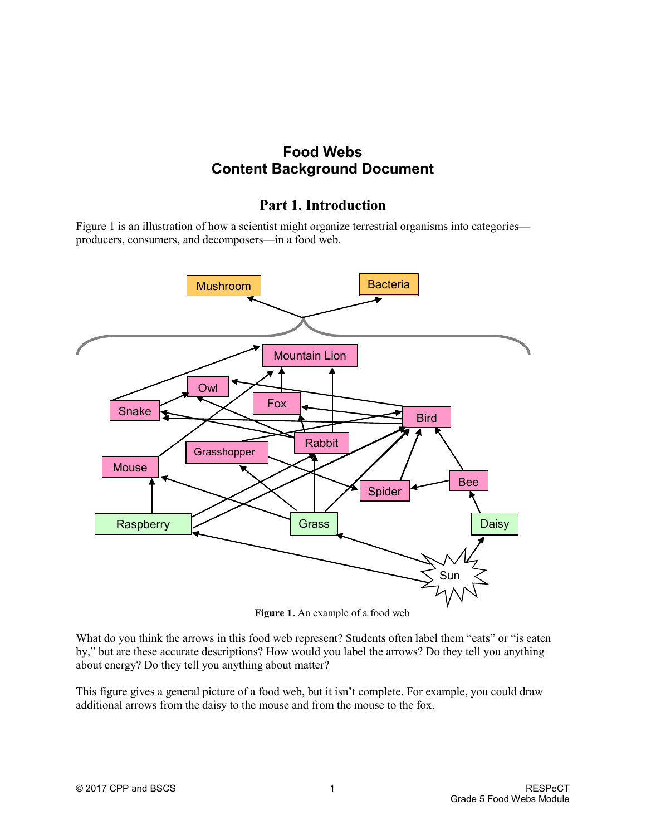# **Food Webs Content Background Document**

## **Part 1. Introduction**

Figure 1 is an illustration of how a scientist might organize terrestrial organisms into categories producers, consumers, and decomposers—in a food web.



**Figure 1.** An example of a food web

What do you think the arrows in this food web represent? Students often label them "eats" or "is eaten by," but are these accurate descriptions? How would you label the arrows? Do they tell you anything about energy? Do they tell you anything about matter?

This figure gives a general picture of a food web, but it isn't complete. For example, you could draw additional arrows from the daisy to the mouse and from the mouse to the fox.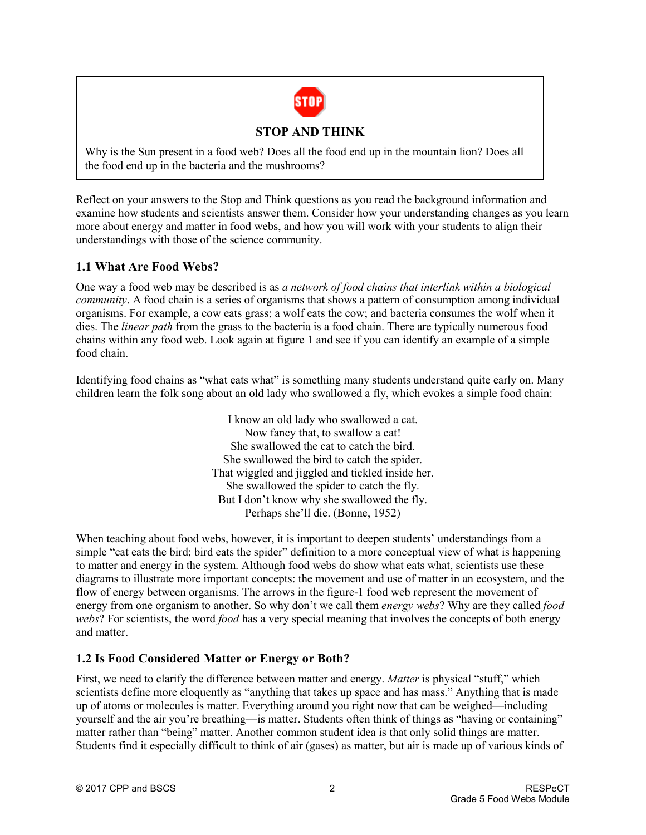

## **STOP AND THINK**

Why is the Sun present in a food web? Does all the food end up in the mountain lion? Does all the food end up in the bacteria and the mushrooms?

Reflect on your answers to the Stop and Think questions as you read the background information and examine how students and scientists answer them. Consider how your understanding changes as you learn more about energy and matter in food webs, and how you will work with your students to align their understandings with those of the science community.

## **1.1 What Are Food Webs?**

One way a food web may be described is as *a network of food chains that interlink within a biological community*. A food chain is a series of organisms that shows a pattern of consumption among individual organisms. For example, a cow eats grass; a wolf eats the cow; and bacteria consumes the wolf when it dies. The *linear path* from the grass to the bacteria is a food chain. There are typically numerous food chains within any food web. Look again at figure 1 and see if you can identify an example of a simple food chain.

Identifying food chains as "what eats what" is something many students understand quite early on. Many children learn the folk song about an old lady who swallowed a fly, which evokes a simple food chain:

> I know an old lady who swallowed a cat. Now fancy that, to swallow a cat! She swallowed the cat to catch the bird. She swallowed the bird to catch the spider. That wiggled and jiggled and tickled inside her. She swallowed the spider to catch the fly. But I don't know why she swallowed the fly. Perhaps she'll die. (Bonne, 1952)

When teaching about food webs, however, it is important to deepen students' understandings from a simple "cat eats the bird; bird eats the spider" definition to a more conceptual view of what is happening to matter and energy in the system. Although food webs do show what eats what, scientists use these diagrams to illustrate more important concepts: the movement and use of matter in an ecosystem, and the flow of energy between organisms. The arrows in the figure-1 food web represent the movement of energy from one organism to another. So why don't we call them *energy webs*? Why are they called *food webs*? For scientists, the word *food* has a very special meaning that involves the concepts of both energy and matter.

## **1.2 Is Food Considered Matter or Energy or Both?**

First, we need to clarify the difference between matter and energy. *Matter* is physical "stuff," which scientists define more eloquently as "anything that takes up space and has mass." Anything that is made up of atoms or molecules is matter. Everything around you right now that can be weighed—including yourself and the air you're breathing—is matter. Students often think of things as "having or containing" matter rather than "being" matter. Another common student idea is that only solid things are matter. Students find it especially difficult to think of air (gases) as matter, but air is made up of various kinds of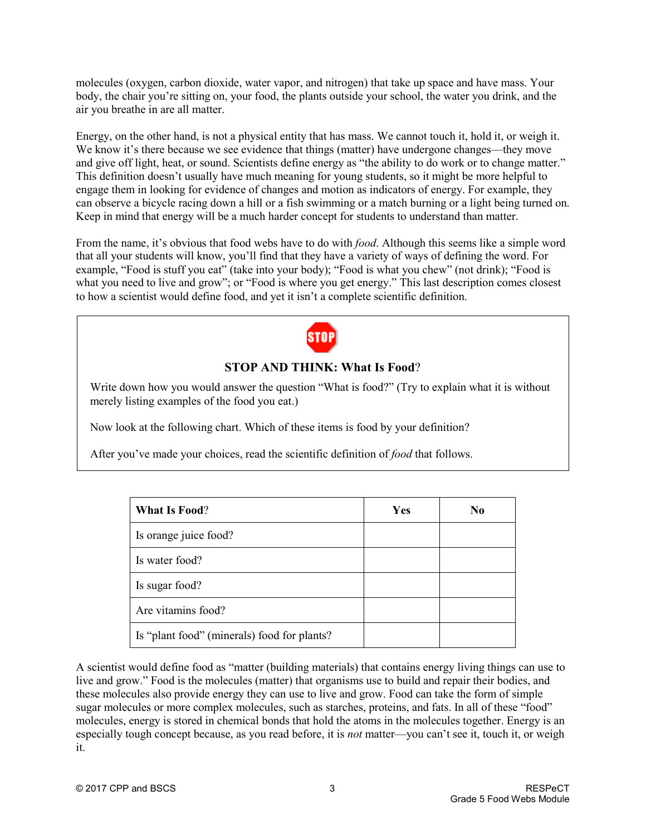molecules (oxygen, carbon dioxide, water vapor, and nitrogen) that take up space and have mass. Your body, the chair you're sitting on, your food, the plants outside your school, the water you drink, and the air you breathe in are all matter.

Energy, on the other hand, is not a physical entity that has mass. We cannot touch it, hold it, or weigh it. We know it's there because we see evidence that things (matter) have undergone changes—they move and give off light, heat, or sound. Scientists define energy as "the ability to do work or to change matter." This definition doesn't usually have much meaning for young students, so it might be more helpful to engage them in looking for evidence of changes and motion as indicators of energy. For example, they can observe a bicycle racing down a hill or a fish swimming or a match burning or a light being turned on. Keep in mind that energy will be a much harder concept for students to understand than matter.

From the name, it's obvious that food webs have to do with *food*. Although this seems like a simple word that all your students will know, you'll find that they have a variety of ways of defining the word. For example, "Food is stuff you eat" (take into your body); "Food is what you chew" (not drink); "Food is what you need to live and grow"; or "Food is where you get energy." This last description comes closest to how a scientist would define food, and yet it isn't a complete scientific definition.



## **STOP AND THINK: What Is Food**?

Write down how you would answer the question "What is food?" (Try to explain what it is without merely listing examples of the food you eat.)

Now look at the following chart. Which of these items is food by your definition?

After you've made your choices, read the scientific definition of *food* that follows.

| <b>What Is Food?</b>                        | Yes | N <sub>0</sub> |
|---------------------------------------------|-----|----------------|
| Is orange juice food?                       |     |                |
| Is water food?                              |     |                |
| Is sugar food?                              |     |                |
| Are vitamins food?                          |     |                |
| Is "plant food" (minerals) food for plants? |     |                |

A scientist would define food as "matter (building materials) that contains energy living things can use to live and grow." Food is the molecules (matter) that organisms use to build and repair their bodies, and these molecules also provide energy they can use to live and grow. Food can take the form of simple sugar molecules or more complex molecules, such as starches, proteins, and fats. In all of these "food" molecules, energy is stored in chemical bonds that hold the atoms in the molecules together. Energy is an especially tough concept because, as you read before, it is *not* matter—you can't see it, touch it, or weigh it.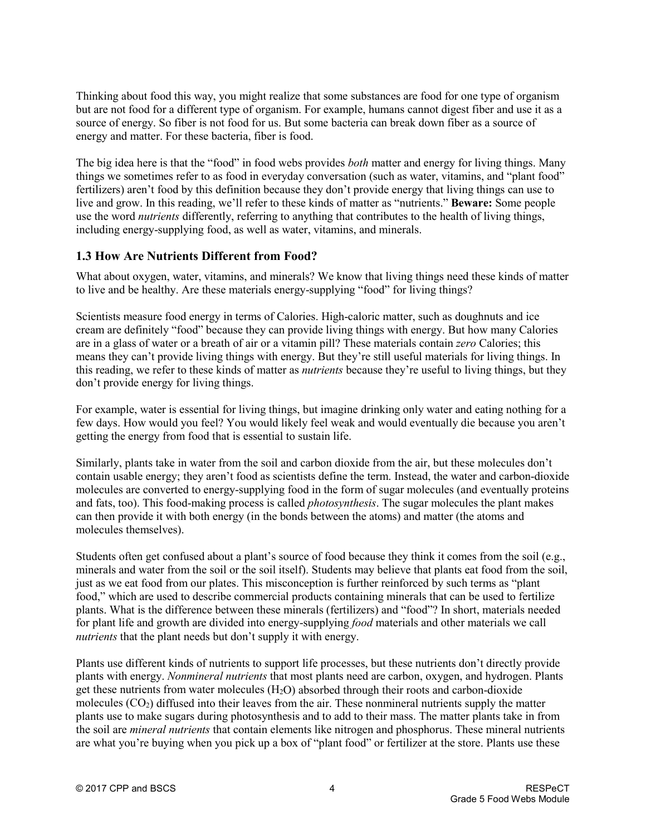Thinking about food this way, you might realize that some substances are food for one type of organism but are not food for a different type of organism. For example, humans cannot digest fiber and use it as a source of energy. So fiber is not food for us. But some bacteria can break down fiber as a source of energy and matter. For these bacteria, fiber is food.

The big idea here is that the "food" in food webs provides *both* matter and energy for living things. Many things we sometimes refer to as food in everyday conversation (such as water, vitamins, and "plant food" fertilizers) aren't food by this definition because they don't provide energy that living things can use to live and grow. In this reading, we'll refer to these kinds of matter as "nutrients." **Beware:** Some people use the word *nutrients* differently, referring to anything that contributes to the health of living things, including energy-supplying food, as well as water, vitamins, and minerals.

### **1.3 How Are Nutrients Different from Food?**

What about oxygen, water, vitamins, and minerals? We know that living things need these kinds of matter to live and be healthy. Are these materials energy-supplying "food" for living things?

Scientists measure food energy in terms of Calories. High-caloric matter, such as doughnuts and ice cream are definitely "food" because they can provide living things with energy. But how many Calories are in a glass of water or a breath of air or a vitamin pill? These materials contain *zero* Calories; this means they can't provide living things with energy. But they're still useful materials for living things. In this reading, we refer to these kinds of matter as *nutrients* because they're useful to living things, but they don't provide energy for living things.

For example, water is essential for living things, but imagine drinking only water and eating nothing for a few days. How would you feel? You would likely feel weak and would eventually die because you aren't getting the energy from food that is essential to sustain life.

Similarly, plants take in water from the soil and carbon dioxide from the air, but these molecules don't contain usable energy; they aren't food as scientists define the term. Instead, the water and carbon-dioxide molecules are converted to energy-supplying food in the form of sugar molecules (and eventually proteins and fats, too). This food-making process is called *photosynthesis*. The sugar molecules the plant makes can then provide it with both energy (in the bonds between the atoms) and matter (the atoms and molecules themselves).

Students often get confused about a plant's source of food because they think it comes from the soil (e.g., minerals and water from the soil or the soil itself). Students may believe that plants eat food from the soil, just as we eat food from our plates. This misconception is further reinforced by such terms as "plant food," which are used to describe commercial products containing minerals that can be used to fertilize plants. What is the difference between these minerals (fertilizers) and "food"? In short, materials needed for plant life and growth are divided into energy-supplying *food* materials and other materials we call *nutrients* that the plant needs but don't supply it with energy.

Plants use different kinds of nutrients to support life processes, but these nutrients don't directly provide plants with energy. *Nonmineral nutrients* that most plants need are carbon, oxygen, and hydrogen. Plants get these nutrients from water molecules  $(H_2O)$  absorbed through their roots and carbon-dioxide molecules  $(CO<sub>2</sub>)$  diffused into their leaves from the air. These nonmineral nutrients supply the matter plants use to make sugars during photosynthesis and to add to their mass. The matter plants take in from the soil are *mineral nutrients* that contain elements like nitrogen and phosphorus. These mineral nutrients are what you're buying when you pick up a box of "plant food" or fertilizer at the store. Plants use these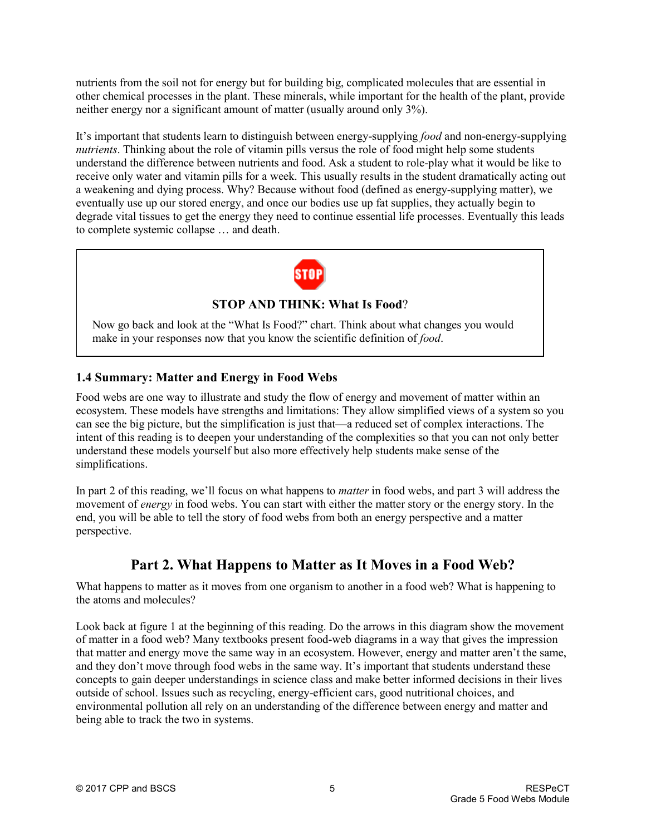nutrients from the soil not for energy but for building big, complicated molecules that are essential in other chemical processes in the plant. These minerals, while important for the health of the plant, provide neither energy nor a significant amount of matter (usually around only 3%).

It's important that students learn to distinguish between energy-supplying *food* and non-energy-supplying *nutrients*. Thinking about the role of vitamin pills versus the role of food might help some students understand the difference between nutrients and food. Ask a student to role-play what it would be like to receive only water and vitamin pills for a week. This usually results in the student dramatically acting out a weakening and dying process. Why? Because without food (defined as energy-supplying matter), we eventually use up our stored energy, and once our bodies use up fat supplies, they actually begin to degrade vital tissues to get the energy they need to continue essential life processes. Eventually this leads to complete systemic collapse … and death.



## **STOP AND THINK: What Is Food**?

Now go back and look at the "What Is Food?" chart. Think about what changes you would make in your responses now that you know the scientific definition of *food*.

## **1.4 Summary: Matter and Energy in Food Webs**

Food webs are one way to illustrate and study the flow of energy and movement of matter within an ecosystem. These models have strengths and limitations: They allow simplified views of a system so you can see the big picture, but the simplification is just that—a reduced set of complex interactions. The intent of this reading is to deepen your understanding of the complexities so that you can not only better understand these models yourself but also more effectively help students make sense of the simplifications.

In part 2 of this reading, we'll focus on what happens to *matter* in food webs, and part 3 will address the movement of *energy* in food webs. You can start with either the matter story or the energy story. In the end, you will be able to tell the story of food webs from both an energy perspective and a matter perspective.

## **Part 2. What Happens to Matter as It Moves in a Food Web?**

What happens to matter as it moves from one organism to another in a food web? What is happening to the atoms and molecules?

Look back at figure 1 at the beginning of this reading. Do the arrows in this diagram show the movement of matter in a food web? Many textbooks present food-web diagrams in a way that gives the impression that matter and energy move the same way in an ecosystem. However, energy and matter aren't the same, and they don't move through food webs in the same way. It's important that students understand these concepts to gain deeper understandings in science class and make better informed decisions in their lives outside of school. Issues such as recycling, energy-efficient cars, good nutritional choices, and environmental pollution all rely on an understanding of the difference between energy and matter and being able to track the two in systems.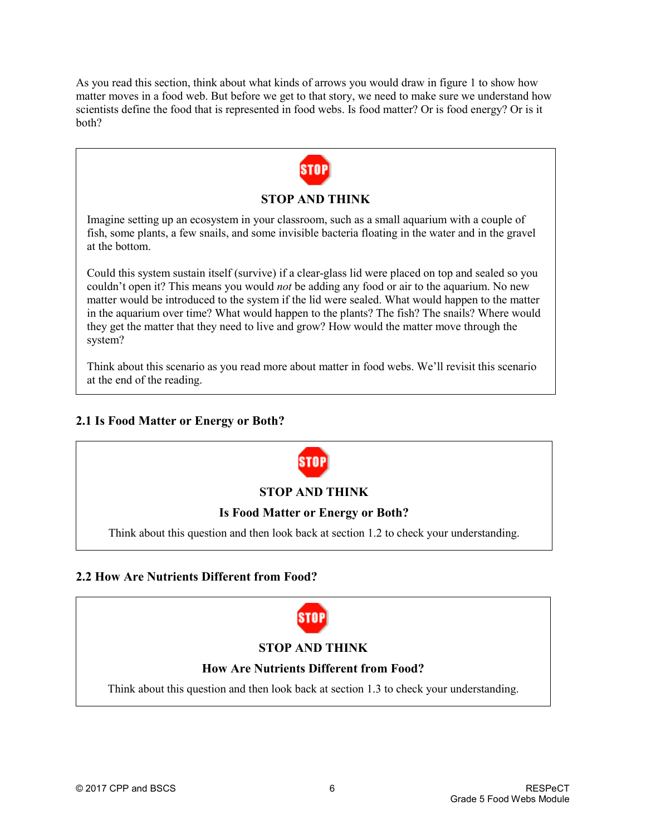As you read this section, think about what kinds of arrows you would draw in figure 1 to show how matter moves in a food web. But before we get to that story, we need to make sure we understand how scientists define the food that is represented in food webs. Is food matter? Or is food energy? Or is it both?



Think about this scenario as you read more about matter in food webs. We'll revisit this scenario at the end of the reading.

## **2.1 Is Food Matter or Energy or Both?**



## **2.2 How Are Nutrients Different from Food?**



## **STOP AND THINK**

### **How Are Nutrients Different from Food?**

Think about this question and then look back at section 1.3 to check your understanding.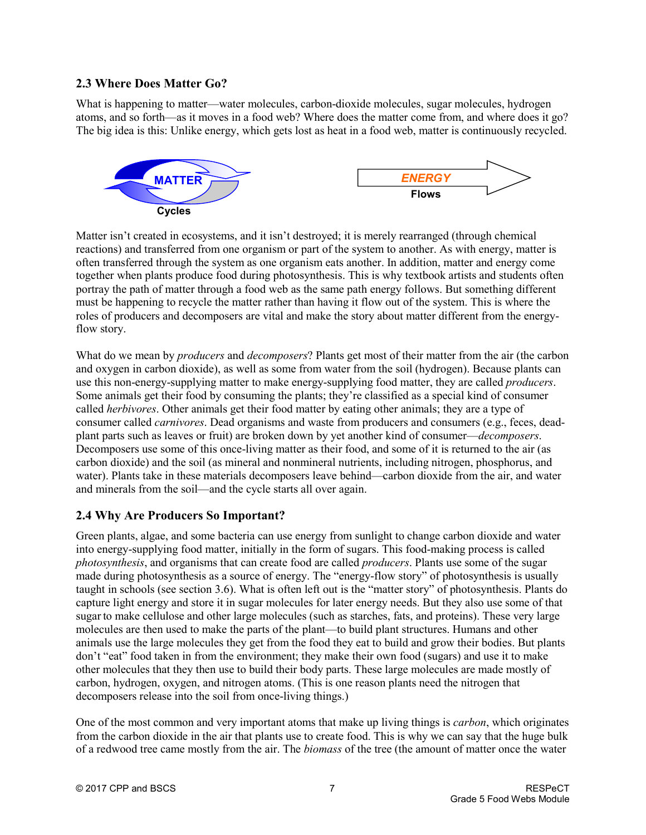## **2.3 Where Does Matter Go?**

What is happening to matter—water molecules, carbon-dioxide molecules, sugar molecules, hydrogen atoms, and so forth—as it moves in a food web? Where does the matter come from, and where does it go? The big idea is this: Unlike energy, which gets lost as heat in a food web, matter is continuously recycled.



Matter isn't created in ecosystems, and it isn't destroyed; it is merely rearranged (through chemical reactions) and transferred from one organism or part of the system to another. As with energy, matter is often transferred through the system as one organism eats another. In addition, matter and energy come together when plants produce food during photosynthesis. This is why textbook artists and students often portray the path of matter through a food web as the same path energy follows. But something different must be happening to recycle the matter rather than having it flow out of the system. This is where the roles of producers and decomposers are vital and make the story about matter different from the energyflow story.

What do we mean by *producers* and *decomposers*? Plants get most of their matter from the air (the carbon and oxygen in carbon dioxide), as well as some from water from the soil (hydrogen). Because plants can use this non-energy-supplying matter to make energy-supplying food matter, they are called *producers*. Some animals get their food by consuming the plants; they're classified as a special kind of consumer called *herbivores*. Other animals get their food matter by eating other animals; they are a type of consumer called *carnivores*. Dead organisms and waste from producers and consumers (e.g., feces, deadplant parts such as leaves or fruit) are broken down by yet another kind of consumer—*decomposers*. Decomposers use some of this once-living matter as their food, and some of it is returned to the air (as carbon dioxide) and the soil (as mineral and nonmineral nutrients, including nitrogen, phosphorus, and water). Plants take in these materials decomposers leave behind—carbon dioxide from the air, and water and minerals from the soil—and the cycle starts all over again.

### **2.4 Why Are Producers So Important?**

Green plants, algae, and some bacteria can use energy from sunlight to change carbon dioxide and water into energy-supplying food matter, initially in the form of sugars. This food-making process is called *photosynthesis*, and organisms that can create food are called *producers*. Plants use some of the sugar made during photosynthesis as a source of energy. The "energy-flow story" of photosynthesis is usually taught in schools (see section 3.6). What is often left out is the "matter story" of photosynthesis. Plants do capture light energy and store it in sugar molecules for later energy needs. But they also use some of that sugar to make cellulose and other large molecules (such as starches, fats, and proteins). These very large molecules are then used to make the parts of the plant—to build plant structures. Humans and other animals use the large molecules they get from the food they eat to build and grow their bodies. But plants don't "eat" food taken in from the environment; they make their own food (sugars) and use it to make other molecules that they then use to build their body parts. These large molecules are made mostly of carbon, hydrogen, oxygen, and nitrogen atoms. (This is one reason plants need the nitrogen that decomposers release into the soil from once-living things.)

One of the most common and very important atoms that make up living things is *carbon*, which originates from the carbon dioxide in the air that plants use to create food. This is why we can say that the huge bulk of a redwood tree came mostly from the air. The *biomass* of the tree (the amount of matter once the water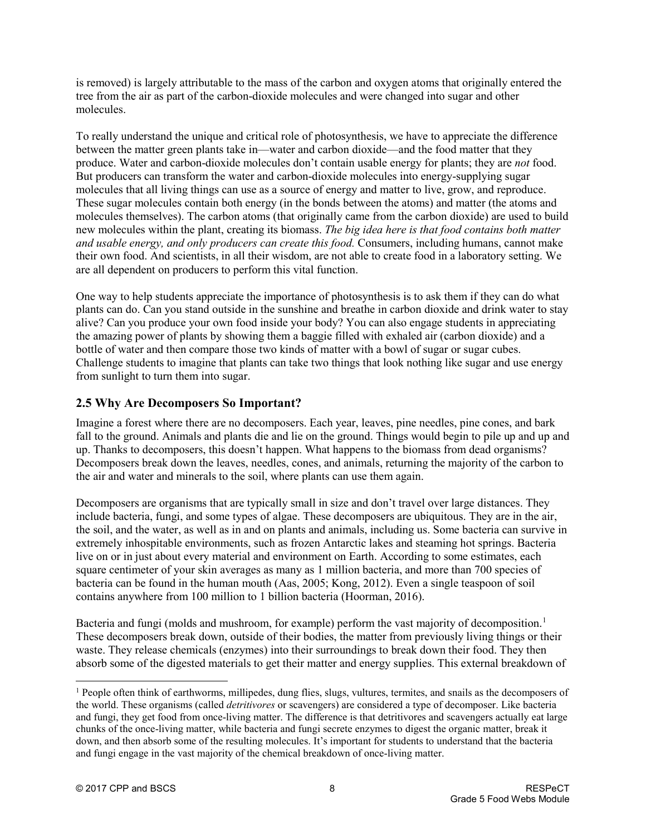is removed) is largely attributable to the mass of the carbon and oxygen atoms that originally entered the tree from the air as part of the carbon-dioxide molecules and were changed into sugar and other molecules.

To really understand the unique and critical role of photosynthesis, we have to appreciate the difference between the matter green plants take in—water and carbon dioxide—and the food matter that they produce. Water and carbon-dioxide molecules don't contain usable energy for plants; they are *not* food. But producers can transform the water and carbon-dioxide molecules into energy-supplying sugar molecules that all living things can use as a source of energy and matter to live, grow, and reproduce. These sugar molecules contain both energy (in the bonds between the atoms) and matter (the atoms and molecules themselves). The carbon atoms (that originally came from the carbon dioxide) are used to build new molecules within the plant, creating its biomass. *The big idea here is that food contains both matter and usable energy, and only producers can create this food.* Consumers, including humans, cannot make their own food. And scientists, in all their wisdom, are not able to create food in a laboratory setting. We are all dependent on producers to perform this vital function.

One way to help students appreciate the importance of photosynthesis is to ask them if they can do what plants can do. Can you stand outside in the sunshine and breathe in carbon dioxide and drink water to stay alive? Can you produce your own food inside your body? You can also engage students in appreciating the amazing power of plants by showing them a baggie filled with exhaled air (carbon dioxide) and a bottle of water and then compare those two kinds of matter with a bowl of sugar or sugar cubes. Challenge students to imagine that plants can take two things that look nothing like sugar and use energy from sunlight to turn them into sugar.

## **2.5 Why Are Decomposers So Important?**

Imagine a forest where there are no decomposers. Each year, leaves, pine needles, pine cones, and bark fall to the ground. Animals and plants die and lie on the ground. Things would begin to pile up and up and up. Thanks to decomposers, this doesn't happen. What happens to the biomass from dead organisms? Decomposers break down the leaves, needles, cones, and animals, returning the majority of the carbon to the air and water and minerals to the soil, where plants can use them again.

Decomposers are organisms that are typically small in size and don't travel over large distances. They include bacteria, fungi, and some types of algae. These decomposers are ubiquitous. They are in the air, the soil, and the water, as well as in and on plants and animals, including us. Some bacteria can survive in extremely inhospitable environments, such as frozen Antarctic lakes and steaming hot springs. Bacteria live on or in just about every material and environment on Earth. According to some estimates, each square centimeter of your skin averages as many as 1 million bacteria, and more than 700 species of bacteria can be found in the human mouth (Aas, 2005; Kong, 2012). Even a single teaspoon of soil contains anywhere from 100 million to 1 billion bacteria (Hoorman, 2016).

Bacteria and fungi (molds and mushroom, for example) perform the vast majority of decomposition.<sup>1</sup> These decomposers break down, outside of their bodies, the matter from previously living things or their waste. They release chemicals (enzymes) into their surroundings to break down their food. They then absorb some of the digested materials to get their matter and energy supplies. This external breakdown of

<span id="page-7-0"></span> $<sup>1</sup>$  People often think of earthworms, millipedes, dung flies, slugs, vultures, termites, and snails as the decomposers of</sup> the world. These organisms (called *detritivores* or scavengers) are considered a type of decomposer. Like bacteria and fungi, they get food from once-living matter. The difference is that detritivores and scavengers actually eat large chunks of the once-living matter, while bacteria and fungi secrete enzymes to digest the organic matter, break it down, and then absorb some of the resulting molecules. It's important for students to understand that the bacteria and fungi engage in the vast majority of the chemical breakdown of once-living matter.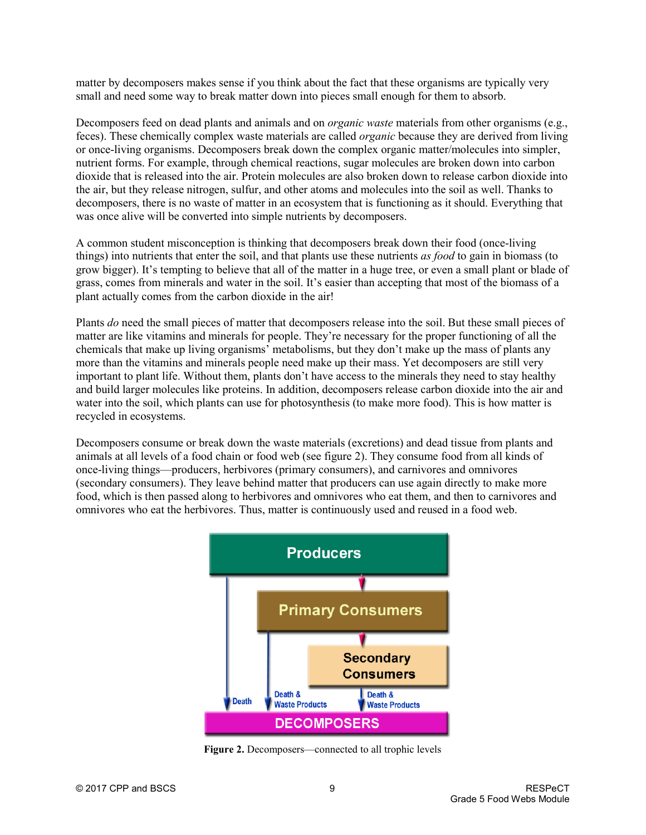matter by decomposers makes sense if you think about the fact that these organisms are typically very small and need some way to break matter down into pieces small enough for them to absorb.

Decomposers feed on dead plants and animals and on *organic waste* materials from other organisms (e.g., feces). These chemically complex waste materials are called *organic* because they are derived from living or once-living organisms. Decomposers break down the complex organic matter/molecules into simpler, nutrient forms. For example, through chemical reactions, sugar molecules are broken down into carbon dioxide that is released into the air. Protein molecules are also broken down to release carbon dioxide into the air, but they release nitrogen, sulfur, and other atoms and molecules into the soil as well. Thanks to decomposers, there is no waste of matter in an ecosystem that is functioning as it should. Everything that was once alive will be converted into simple nutrients by decomposers.

A common student misconception is thinking that decomposers break down their food (once-living things) into nutrients that enter the soil, and that plants use these nutrients *as food* to gain in biomass (to grow bigger). It's tempting to believe that all of the matter in a huge tree, or even a small plant or blade of grass, comes from minerals and water in the soil. It's easier than accepting that most of the biomass of a plant actually comes from the carbon dioxide in the air!

Plants *do* need the small pieces of matter that decomposers release into the soil. But these small pieces of matter are like vitamins and minerals for people. They're necessary for the proper functioning of all the chemicals that make up living organisms' metabolisms, but they don't make up the mass of plants any more than the vitamins and minerals people need make up their mass. Yet decomposers are still very important to plant life. Without them, plants don't have access to the minerals they need to stay healthy and build larger molecules like proteins. In addition, decomposers release carbon dioxide into the air and water into the soil, which plants can use for photosynthesis (to make more food). This is how matter is recycled in ecosystems.

Decomposers consume or break down the waste materials (excretions) and dead tissue from plants and animals at all levels of a food chain or food web (see figure 2). They consume food from all kinds of once-living things—producers, herbivores (primary consumers), and carnivores and omnivores (secondary consumers). They leave behind matter that producers can use again directly to make more food, which is then passed along to herbivores and omnivores who eat them, and then to carnivores and omnivores who eat the herbivores. Thus, matter is continuously used and reused in a food web.



**Figure 2.** Decomposers—connected to all trophic levels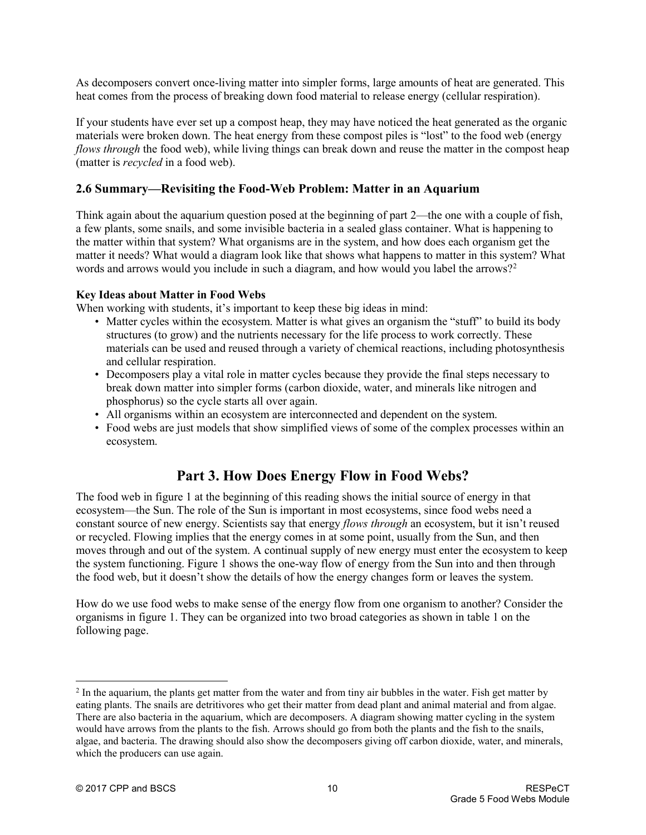As decomposers convert once-living matter into simpler forms, large amounts of heat are generated. This heat comes from the process of breaking down food material to release energy (cellular respiration).

If your students have ever set up a compost heap, they may have noticed the heat generated as the organic materials were broken down. The heat energy from these compost piles is "lost" to the food web (energy *flows through* the food web), while living things can break down and reuse the matter in the compost heap (matter is *recycled* in a food web).

### **2.6 Summary—Revisiting the Food-Web Problem: Matter in an Aquarium**

Think again about the aquarium question posed at the beginning of part 2—the one with a couple of fish, a few plants, some snails, and some invisible bacteria in a sealed glass container. What is happening to the matter within that system? What organisms are in the system, and how does each organism get the matter it needs? What would a diagram look like that shows what happens to matter in this system? What words and arrows would you include in such a diagram, and how would you label the arrows?<sup>2</sup>

#### **Key Ideas about Matter in Food Webs**

When working with students, it's important to keep these big ideas in mind:

- Matter cycles within the ecosystem. Matter is what gives an organism the "stuff" to build its body structures (to grow) and the nutrients necessary for the life process to work correctly. These materials can be used and reused through a variety of chemical reactions, including photosynthesis and cellular respiration.
- Decomposers play a vital role in matter cycles because they provide the final steps necessary to break down matter into simpler forms (carbon dioxide, water, and minerals like nitrogen and phosphorus) so the cycle starts all over again.
- All organisms within an ecosystem are interconnected and dependent on the system.
- Food webs are just models that show simplified views of some of the complex processes within an ecosystem.

# **Part 3. How Does Energy Flow in Food Webs?**

The food web in figure 1 at the beginning of this reading shows the initial source of energy in that ecosystem—the Sun. The role of the Sun is important in most ecosystems, since food webs need a constant source of new energy. Scientists say that energy *flows through* an ecosystem, but it isn't reused or recycled. Flowing implies that the energy comes in at some point, usually from the Sun, and then moves through and out of the system. A continual supply of new energy must enter the ecosystem to keep the system functioning. Figure 1 shows the one-way flow of energy from the Sun into and then through the food web, but it doesn't show the details of how the energy changes form or leaves the system.

How do we use food webs to make sense of the energy flow from one organism to another? Consider the organisms in figure 1. They can be organized into two broad categories as shown in table 1 on the following page.

<span id="page-9-0"></span><sup>&</sup>lt;sup>2</sup> In the aquarium, the plants get matter from the water and from tiny air bubbles in the water. Fish get matter by eating plants. The snails are detritivores who get their matter from dead plant and animal material and from algae. There are also bacteria in the aquarium, which are decomposers. A diagram showing matter cycling in the system would have arrows from the plants to the fish. Arrows should go from both the plants and the fish to the snails, algae, and bacteria. The drawing should also show the decomposers giving off carbon dioxide, water, and minerals, which the producers can use again.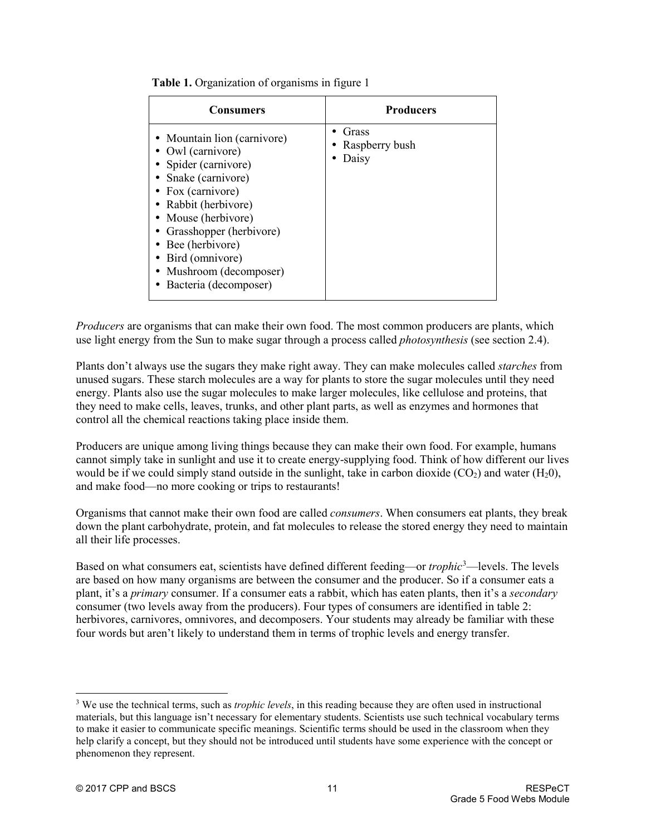| Consumers                                                                                                                                                                                                                                                                                        | <b>Producers</b>                 |
|--------------------------------------------------------------------------------------------------------------------------------------------------------------------------------------------------------------------------------------------------------------------------------------------------|----------------------------------|
| • Mountain lion (carnivore)<br>• Owl (carnivore)<br>• Spider (carnivore)<br>• Snake (carnivore)<br>• Fox (carnivore)<br>• Rabbit (herbivore)<br>• Mouse (herbivore)<br>• Grasshopper (herbivore)<br>• Bee (herbivore)<br>• Bird (omnivore)<br>• Mushroom (decomposer)<br>• Bacteria (decomposer) | Grass<br>Raspberry bush<br>Daisy |

**Table 1.** Organization of organisms in figure 1

*Producers* are organisms that can make their own food. The most common producers are plants, which use light energy from the Sun to make sugar through a process called *photosynthesis* (see section 2.4).

Plants don't always use the sugars they make right away. They can make molecules called *starches* from unused sugars. These starch molecules are a way for plants to store the sugar molecules until they need energy. Plants also use the sugar molecules to make larger molecules, like cellulose and proteins, that they need to make cells, leaves, trunks, and other plant parts, as well as enzymes and hormones that control all the chemical reactions taking place inside them.

Producers are unique among living things because they can make their own food. For example, humans cannot simply take in sunlight and use it to create energy-supplying food. Think of how different our lives would be if we could simply stand outside in the sunlight, take in carbon dioxide  $(CO_2)$  and water  $(H_20)$ , and make food—no more cooking or trips to restaurants!

Organisms that cannot make their own food are called *consumers*. When consumers eat plants, they break down the plant carbohydrate, protein, and fat molecules to release the stored energy they need to maintain all their life processes.

Based on what consumers eat, scientists have defined different feeding—or *trophic*<sup>[3](#page-10-0)</sup>—levels. The levels are based on how many organisms are between the consumer and the producer. So if a consumer eats a plant, it's a *primary* consumer. If a consumer eats a rabbit, which has eaten plants, then it's a *secondary* consumer (two levels away from the producers). Four types of consumers are identified in table 2: herbivores, carnivores, omnivores, and decomposers. Your students may already be familiar with these four words but aren't likely to understand them in terms of trophic levels and energy transfer.

<span id="page-10-0"></span> <sup>3</sup> We use the technical terms, such as *trophic levels*, in this reading because they are often used in instructional materials, but this language isn't necessary for elementary students. Scientists use such technical vocabulary terms to make it easier to communicate specific meanings. Scientific terms should be used in the classroom when they help clarify a concept, but they should not be introduced until students have some experience with the concept or phenomenon they represent.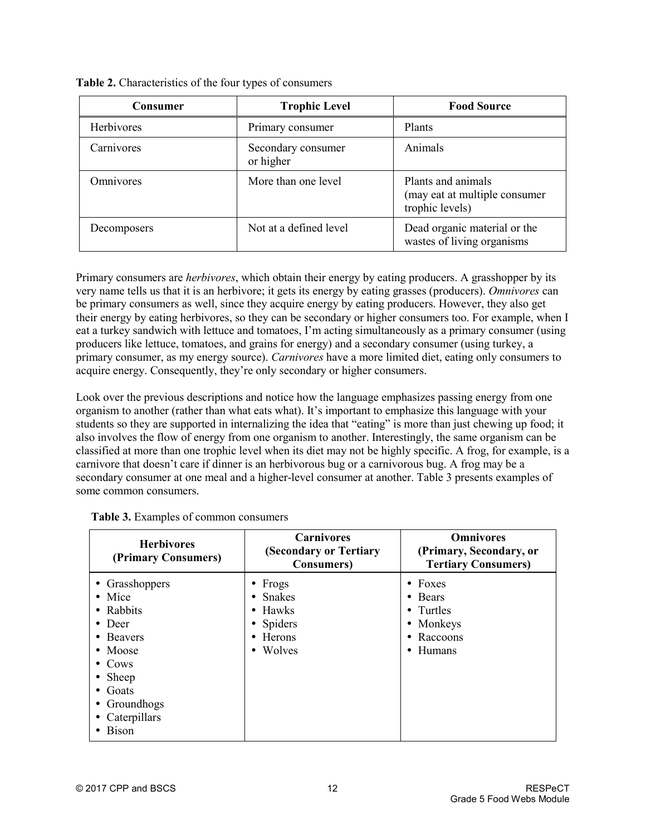| <b>Consumer</b>   | <b>Trophic Level</b>            | <b>Food Source</b>                                                     |
|-------------------|---------------------------------|------------------------------------------------------------------------|
| <b>Herbivores</b> | Primary consumer                | <b>Plants</b>                                                          |
| Carnivores        | Secondary consumer<br>or higher | Animals                                                                |
| Omnivores         | More than one level             | Plants and animals<br>(may eat at multiple consumer<br>trophic levels) |
| Decomposers       | Not at a defined level          | Dead organic material or the<br>wastes of living organisms             |

| Table 2. Characteristics of the four types of consumers |  |  |  |
|---------------------------------------------------------|--|--|--|
|---------------------------------------------------------|--|--|--|

Primary consumers are *herbivores*, which obtain their energy by eating producers. A grasshopper by its very name tells us that it is an herbivore; it gets its energy by eating grasses (producers). *Omnivores* can be primary consumers as well, since they acquire energy by eating producers. However, they also get their energy by eating herbivores, so they can be secondary or higher consumers too. For example, when I eat a turkey sandwich with lettuce and tomatoes, I'm acting simultaneously as a primary consumer (using producers like lettuce, tomatoes, and grains for energy) and a secondary consumer (using turkey, a primary consumer, as my energy source). *Carnivores* have a more limited diet, eating only consumers to acquire energy. Consequently, they're only secondary or higher consumers.

Look over the previous descriptions and notice how the language emphasizes passing energy from one organism to another (rather than what eats what). It's important to emphasize this language with your students so they are supported in internalizing the idea that "eating" is more than just chewing up food; it also involves the flow of energy from one organism to another. Interestingly, the same organism can be classified at more than one trophic level when its diet may not be highly specific. A frog, for example, is a carnivore that doesn't care if dinner is an herbivorous bug or a carnivorous bug. A frog may be a secondary consumer at one meal and a higher-level consumer at another. Table 3 presents examples of some common consumers.

| <b>Herbivores</b><br>(Primary Consumers)                                                                                                                                                | <b>Carnivores</b><br>(Secondary or Tertiary<br><b>Consumers</b> )                                   | <b>Omnivores</b><br>(Primary, Secondary, or<br><b>Tertiary Consumers)</b>                         |
|-----------------------------------------------------------------------------------------------------------------------------------------------------------------------------------------|-----------------------------------------------------------------------------------------------------|---------------------------------------------------------------------------------------------------|
| • Grasshoppers<br>$\bullet$ Mice<br>• Rabbits<br>$\bullet$ Deer<br>• Beavers<br>$\bullet$ Moose<br>$\bullet$ Cows<br>• Sheep<br>Goats<br>• Groundhogs<br>• Caterpillars<br><b>Bison</b> | $\bullet$ Frogs<br>$\bullet$ Snakes<br>$\bullet$ Hawks<br>• Spiders<br>$\bullet$ Herons<br>• Wolves | $\bullet$ Foxes<br>• Bears<br>• Turtles<br>• Monkeys<br>Raccoons<br>$\bullet$<br>$\bullet$ Humans |

|  | Table 3. Examples of common consumers |  |
|--|---------------------------------------|--|
|  |                                       |  |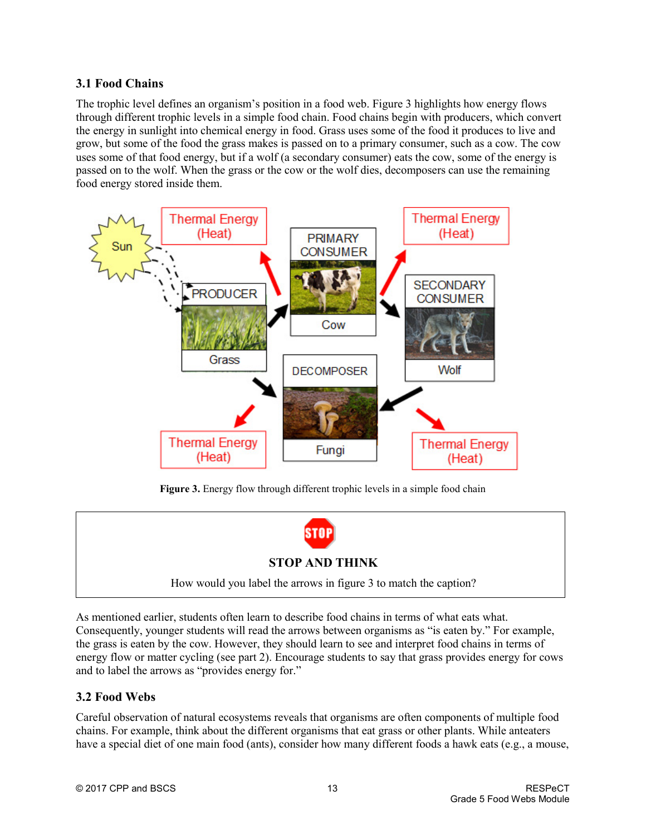## **3.1 Food Chains**

The trophic level defines an organism's position in a food web. Figure 3 highlights how energy flows through different trophic levels in a simple food chain. Food chains begin with producers, which convert the energy in sunlight into chemical energy in food. Grass uses some of the food it produces to live and grow, but some of the food the grass makes is passed on to a primary consumer, such as a cow. The cow uses some of that food energy, but if a wolf (a secondary consumer) eats the cow, some of the energy is passed on to the wolf. When the grass or the cow or the wolf dies, decomposers can use the remaining food energy stored inside them.



Figure 3. Energy flow through different trophic levels in a simple food chain



As mentioned earlier, students often learn to describe food chains in terms of what eats what. Consequently, younger students will read the arrows between organisms as "is eaten by." For example, the grass is eaten by the cow. However, they should learn to see and interpret food chains in terms of energy flow or matter cycling (see part 2). Encourage students to say that grass provides energy for cows and to label the arrows as "provides energy for."

### **3.2 Food Webs**

Careful observation of natural ecosystems reveals that organisms are often components of multiple food chains. For example, think about the different organisms that eat grass or other plants. While anteaters have a special diet of one main food (ants), consider how many different foods a hawk eats (e.g., a mouse,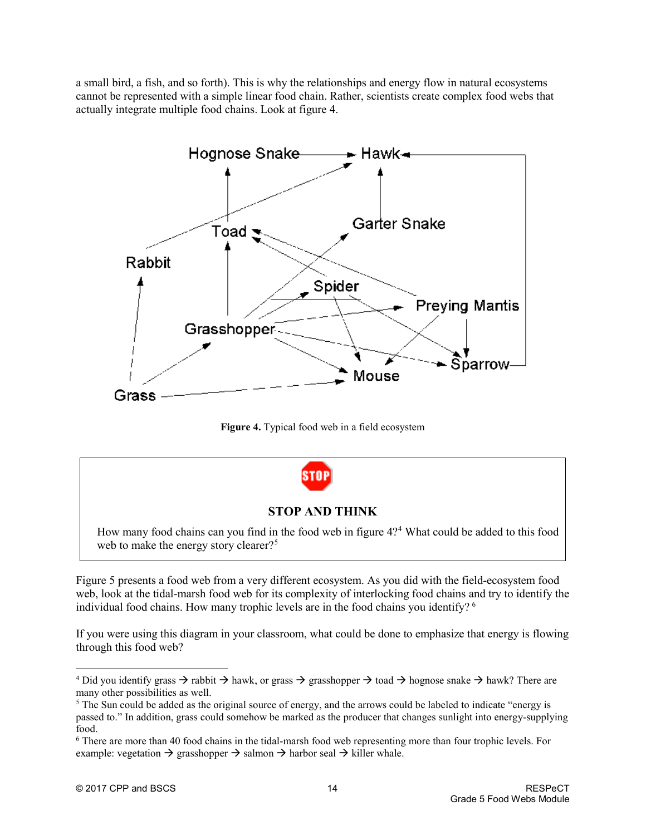a small bird, a fish, and so forth). This is why the relationships and energy flow in natural ecosystems cannot be represented with a simple linear food chain. Rather, scientists create complex food webs that actually integrate multiple food chains. Look at figure 4.



**Figure 4.** Typical food web in a field ecosystem



Figure 5 presents a food web from a very different ecosystem. As you did with the field-ecosystem food web, look at the tidal-marsh food web for its complexity of interlocking food chains and try to identify the individual food chains. How many trophic levels are in the food chains you identify? [6](#page-13-2)

If you were using this diagram in your classroom, what could be done to emphasize that energy is flowing through this food web?

<span id="page-13-0"></span><sup>&</sup>lt;sup>4</sup> Did you identify grass  $\rightarrow$  rabbit  $\rightarrow$  hawk, or grass  $\rightarrow$  grasshopper  $\rightarrow$  toad  $\rightarrow$  hognose snake  $\rightarrow$  hawk? There are many other possibilities as well.

<span id="page-13-1"></span><sup>&</sup>lt;sup>5</sup> The Sun could be added as the original source of energy, and the arrows could be labeled to indicate "energy is passed to." In addition, grass could somehow be marked as the producer that changes sunlight into energy-supplying food.

<span id="page-13-2"></span><sup>6</sup> There are more than 40 food chains in the tidal-marsh food web representing more than four trophic levels. For example: vegetation  $\rightarrow$  grasshopper  $\rightarrow$  salmon  $\rightarrow$  harbor seal  $\rightarrow$  killer whale.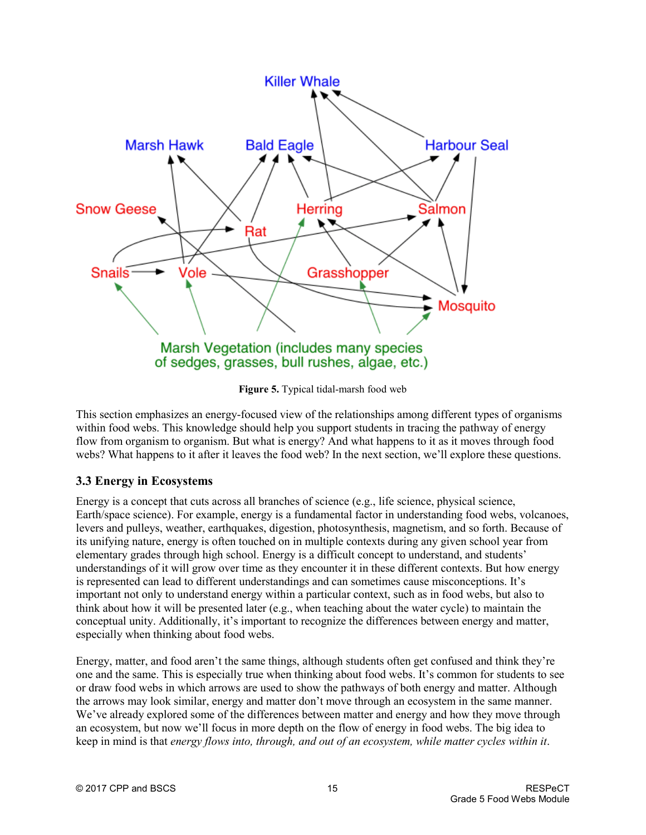

**Figure 5.** Typical tidal-marsh food web

This section emphasizes an energy-focused view of the relationships among different types of organisms within food webs. This knowledge should help you support students in tracing the pathway of energy flow from organism to organism. But what is energy? And what happens to it as it moves through food webs? What happens to it after it leaves the food web? In the next section, we'll explore these questions.

## **3.3 Energy in Ecosystems**

Energy is a concept that cuts across all branches of science (e.g., life science, physical science, Earth/space science). For example, energy is a fundamental factor in understanding food webs, volcanoes, levers and pulleys, weather, earthquakes, digestion, photosynthesis, magnetism, and so forth. Because of its unifying nature, energy is often touched on in multiple contexts during any given school year from elementary grades through high school. Energy is a difficult concept to understand, and students' understandings of it will grow over time as they encounter it in these different contexts. But how energy is represented can lead to different understandings and can sometimes cause misconceptions. It's important not only to understand energy within a particular context, such as in food webs, but also to think about how it will be presented later (e.g., when teaching about the water cycle) to maintain the conceptual unity. Additionally, it's important to recognize the differences between energy and matter, especially when thinking about food webs.

Energy, matter, and food aren't the same things, although students often get confused and think they're one and the same. This is especially true when thinking about food webs. It's common for students to see or draw food webs in which arrows are used to show the pathways of both energy and matter. Although the arrows may look similar, energy and matter don't move through an ecosystem in the same manner. We've already explored some of the differences between matter and energy and how they move through an ecosystem, but now we'll focus in more depth on the flow of energy in food webs. The big idea to keep in mind is that *energy flows into, through, and out of an ecosystem, while matter cycles within it*.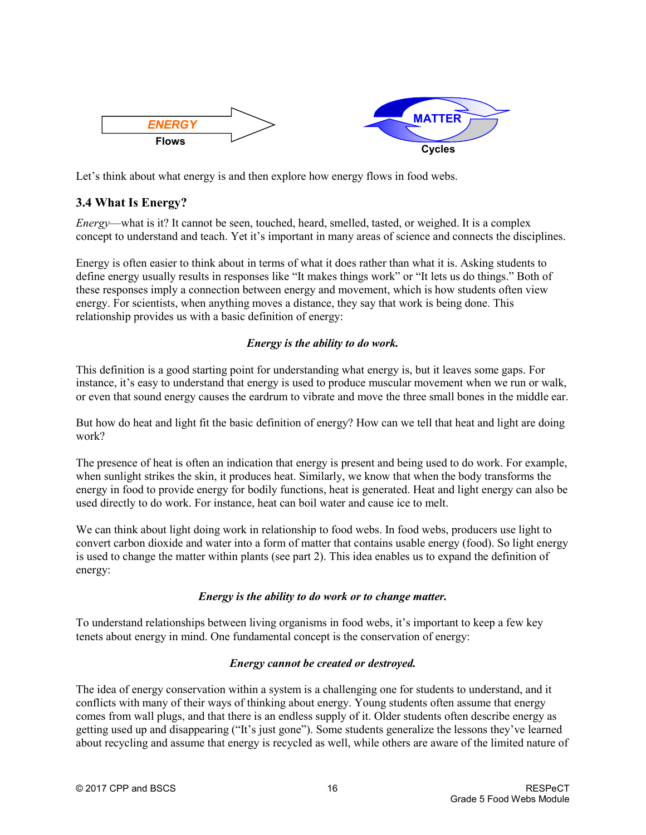

Let's think about what energy is and then explore how energy flows in food webs.

## **3.4 What Is Energy?**

*Energy*—what is it? It cannot be seen, touched, heard, smelled, tasted, or weighed. It is a complex concept to understand and teach. Yet it's important in many areas of science and connects the disciplines.

Energy is often easier to think about in terms of what it does rather than what it is. Asking students to define energy usually results in responses like "It makes things work" or "It lets us do things." Both of these responses imply a connection between energy and movement, which is how students often view energy. For scientists, when anything moves a distance, they say that work is being done. This relationship provides us with a basic definition of energy:

### *Energy is the ability to do work.*

This definition is a good starting point for understanding what energy is, but it leaves some gaps. For instance, it's easy to understand that energy is used to produce muscular movement when we run or walk, or even that sound energy causes the eardrum to vibrate and move the three small bones in the middle ear.

But how do heat and light fit the basic definition of energy? How can we tell that heat and light are doing work?

The presence of heat is often an indication that energy is present and being used to do work. For example, when sunlight strikes the skin, it produces heat. Similarly, we know that when the body transforms the energy in food to provide energy for bodily functions, heat is generated. Heat and light energy can also be used directly to do work. For instance, heat can boil water and cause ice to melt.

We can think about light doing work in relationship to food webs. In food webs, producers use light to convert carbon dioxide and water into a form of matter that contains usable energy (food). So light energy is used to change the matter within plants (see part 2). This idea enables us to expand the definition of energy:

### *Energy is the ability to do work or to change matter.*

To understand relationships between living organisms in food webs, it's important to keep a few key tenets about energy in mind. One fundamental concept is the conservation of energy:

#### *Energy cannot be created or destroyed.*

The idea of energy conservation within a system is a challenging one for students to understand, and it conflicts with many of their ways of thinking about energy. Young students often assume that energy comes from wall plugs, and that there is an endless supply of it. Older students often describe energy as getting used up and disappearing ("It's just gone"). Some students generalize the lessons they've learned about recycling and assume that energy is recycled as well, while others are aware of the limited nature of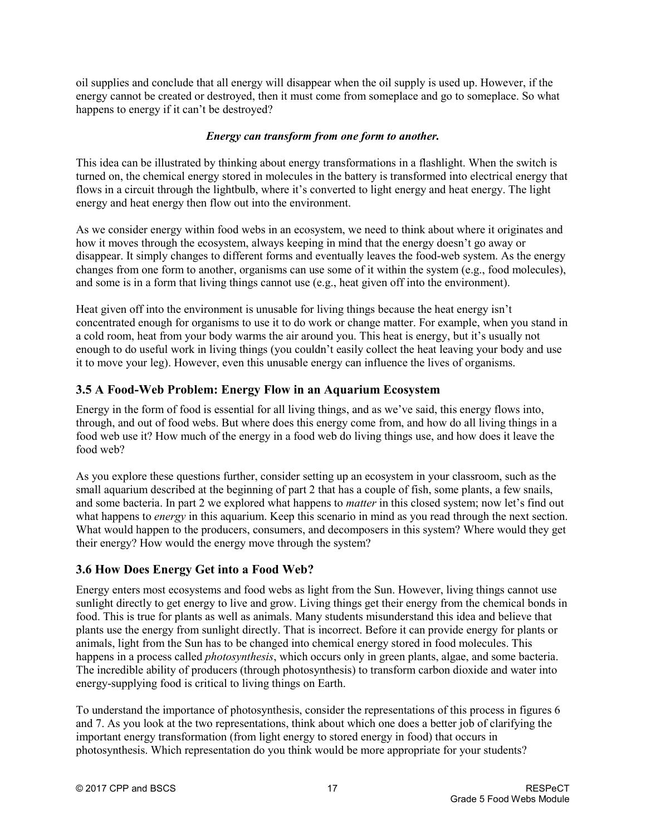oil supplies and conclude that all energy will disappear when the oil supply is used up. However, if the energy cannot be created or destroyed, then it must come from someplace and go to someplace. So what happens to energy if it can't be destroyed?

#### *Energy can transform from one form to another.*

This idea can be illustrated by thinking about energy transformations in a flashlight. When the switch is turned on, the chemical energy stored in molecules in the battery is transformed into electrical energy that flows in a circuit through the lightbulb, where it's converted to light energy and heat energy. The light energy and heat energy then flow out into the environment.

As we consider energy within food webs in an ecosystem, we need to think about where it originates and how it moves through the ecosystem, always keeping in mind that the energy doesn't go away or disappear. It simply changes to different forms and eventually leaves the food-web system. As the energy changes from one form to another, organisms can use some of it within the system (e.g., food molecules), and some is in a form that living things cannot use (e.g., heat given off into the environment).

Heat given off into the environment is unusable for living things because the heat energy isn't concentrated enough for organisms to use it to do work or change matter. For example, when you stand in a cold room, heat from your body warms the air around you. This heat is energy, but it's usually not enough to do useful work in living things (you couldn't easily collect the heat leaving your body and use it to move your leg). However, even this unusable energy can influence the lives of organisms.

## **3.5 A Food-Web Problem: Energy Flow in an Aquarium Ecosystem**

Energy in the form of food is essential for all living things, and as we've said, this energy flows into, through, and out of food webs. But where does this energy come from, and how do all living things in a food web use it? How much of the energy in a food web do living things use, and how does it leave the food web?

As you explore these questions further, consider setting up an ecosystem in your classroom, such as the small aquarium described at the beginning of part 2 that has a couple of fish, some plants, a few snails, and some bacteria. In part 2 we explored what happens to *matter* in this closed system; now let's find out what happens to *energy* in this aquarium. Keep this scenario in mind as you read through the next section. What would happen to the producers, consumers, and decomposers in this system? Where would they get their energy? How would the energy move through the system?

## **3.6 How Does Energy Get into a Food Web?**

Energy enters most ecosystems and food webs as light from the Sun. However, living things cannot use sunlight directly to get energy to live and grow. Living things get their energy from the chemical bonds in food. This is true for plants as well as animals. Many students misunderstand this idea and believe that plants use the energy from sunlight directly. That is incorrect. Before it can provide energy for plants or animals, light from the Sun has to be changed into chemical energy stored in food molecules. This happens in a process called *photosynthesis*, which occurs only in green plants, algae, and some bacteria. The incredible ability of producers (through photosynthesis) to transform carbon dioxide and water into energy-supplying food is critical to living things on Earth.

To understand the importance of photosynthesis, consider the representations of this process in figures 6 and 7. As you look at the two representations, think about which one does a better job of clarifying the important energy transformation (from light energy to stored energy in food) that occurs in photosynthesis. Which representation do you think would be more appropriate for your students?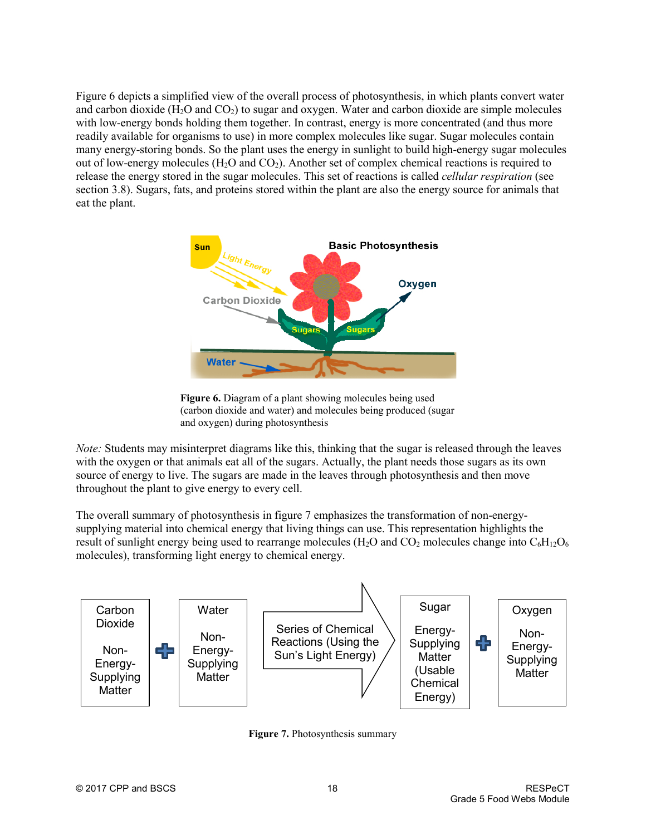Figure 6 depicts a simplified view of the overall process of photosynthesis, in which plants convert water and carbon dioxide  $(H_2O$  and  $CO_2$ ) to sugar and oxygen. Water and carbon dioxide are simple molecules with low-energy bonds holding them together. In contrast, energy is more concentrated (and thus more readily available for organisms to use) in more complex molecules like sugar. Sugar molecules contain many energy-storing bonds. So the plant uses the energy in sunlight to build high-energy sugar molecules out of low-energy molecules  $(H_2O \text{ and } CO_2)$ . Another set of complex chemical reactions is required to release the energy stored in the sugar molecules. This set of reactions is called *cellular respiration* (see section 3.8). Sugars, fats, and proteins stored within the plant are also the energy source for animals that eat the plant.



**Figure 6.** Diagram of a plant showing molecules being used (carbon dioxide and water) and molecules being produced (sugar and oxygen) during photosynthesis

*Note:* Students may misinterpret diagrams like this, thinking that the sugar is released through the leaves with the oxygen or that animals eat all of the sugars. Actually, the plant needs those sugars as its own source of energy to live. The sugars are made in the leaves through photosynthesis and then move throughout the plant to give energy to every cell.

The overall summary of photosynthesis in figure 7 emphasizes the transformation of non-energysupplying material into chemical energy that living things can use. This representation highlights the result of sunlight energy being used to rearrange molecules (H<sub>2</sub>O and CO<sub>2</sub> molecules change into  $C_6H_{12}O_6$ molecules), transforming light energy to chemical energy.



**Figure 7.** Photosynthesis summary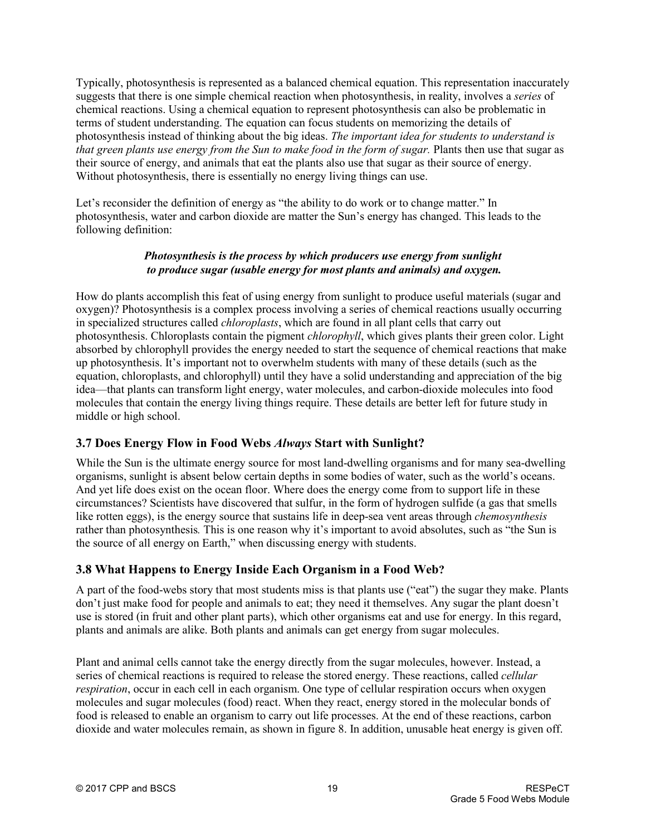Typically, photosynthesis is represented as a balanced chemical equation. This representation inaccurately suggests that there is one simple chemical reaction when photosynthesis, in reality, involves a *series* of chemical reactions. Using a chemical equation to represent photosynthesis can also be problematic in terms of student understanding. The equation can focus students on memorizing the details of photosynthesis instead of thinking about the big ideas. *The important idea for students to understand is that green plants use energy from the Sun to make food in the form of sugar.* Plants then use that sugar as their source of energy, and animals that eat the plants also use that sugar as their source of energy. Without photosynthesis, there is essentially no energy living things can use.

Let's reconsider the definition of energy as "the ability to do work or to change matter." In photosynthesis, water and carbon dioxide are matter the Sun's energy has changed. This leads to the following definition:

#### *Photosynthesis is the process by which producers use energy from sunlight to produce sugar (usable energy for most plants and animals) and oxygen.*

How do plants accomplish this feat of using energy from sunlight to produce useful materials (sugar and oxygen)? Photosynthesis is a complex process involving a series of chemical reactions usually occurring in specialized structures called *chloroplasts*, which are found in all plant cells that carry out photosynthesis. Chloroplasts contain the pigment *chlorophyll*, which gives plants their green color. Light absorbed by chlorophyll provides the energy needed to start the sequence of chemical reactions that make up photosynthesis. It's important not to overwhelm students with many of these details (such as the equation, chloroplasts, and chlorophyll) until they have a solid understanding and appreciation of the big idea—that plants can transform light energy, water molecules, and carbon-dioxide molecules into food molecules that contain the energy living things require. These details are better left for future study in middle or high school.

## **3.7 Does Energy Flow in Food Webs** *Always* **Start with Sunlight?**

While the Sun is the ultimate energy source for most land-dwelling organisms and for many sea-dwelling organisms, sunlight is absent below certain depths in some bodies of water, such as the world's oceans. And yet life does exist on the ocean floor. Where does the energy come from to support life in these circumstances? Scientists have discovered that sulfur, in the form of hydrogen sulfide (a gas that smells like rotten eggs), is the energy source that sustains life in deep-sea vent areas through *chemosynthesis* rather than photosynthesis*.* This is one reason why it's important to avoid absolutes, such as "the Sun is the source of all energy on Earth," when discussing energy with students.

## **3.8 What Happens to Energy Inside Each Organism in a Food Web?**

A part of the food-webs story that most students miss is that plants use ("eat") the sugar they make. Plants don't just make food for people and animals to eat; they need it themselves. Any sugar the plant doesn't use is stored (in fruit and other plant parts), which other organisms eat and use for energy. In this regard, plants and animals are alike. Both plants and animals can get energy from sugar molecules.

Plant and animal cells cannot take the energy directly from the sugar molecules, however. Instead, a series of chemical reactions is required to release the stored energy. These reactions, called *cellular respiration*, occur in each cell in each organism. One type of cellular respiration occurs when oxygen molecules and sugar molecules (food) react. When they react, energy stored in the molecular bonds of food is released to enable an organism to carry out life processes. At the end of these reactions, carbon dioxide and water molecules remain, as shown in figure 8. In addition, unusable heat energy is given off.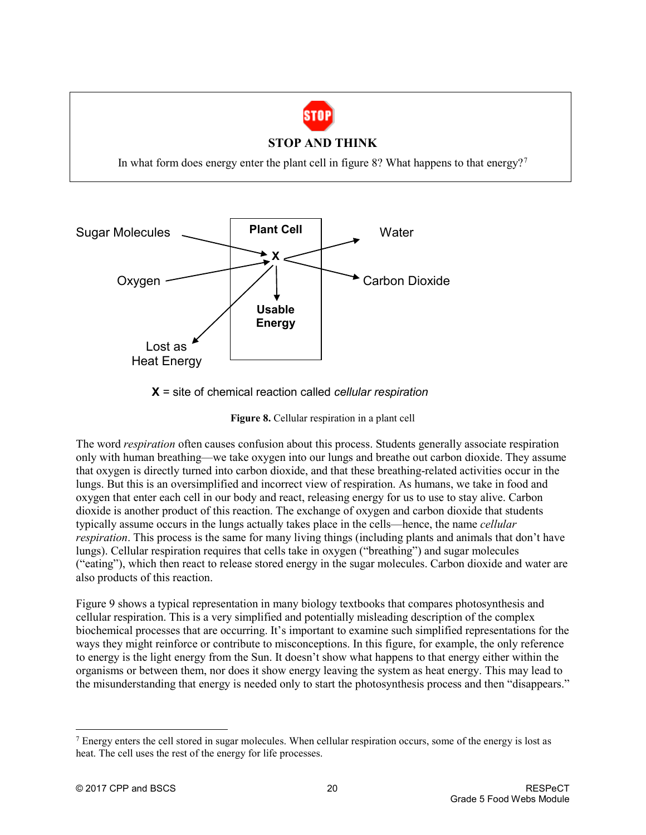

### **STOP AND THINK**

In what form does energy enter the plant cell in figure 8? What happens to that energy?<sup>[7](#page-19-0)</sup>



**X** = site of chemical reaction called *cellular respiration*

**Figure 8.** Cellular respiration in a plant cell

The word *respiration* often causes confusion about this process. Students generally associate respiration only with human breathing—we take oxygen into our lungs and breathe out carbon dioxide. They assume that oxygen is directly turned into carbon dioxide, and that these breathing-related activities occur in the lungs. But this is an oversimplified and incorrect view of respiration. As humans, we take in food and oxygen that enter each cell in our body and react, releasing energy for us to use to stay alive. Carbon dioxide is another product of this reaction. The exchange of oxygen and carbon dioxide that students typically assume occurs in the lungs actually takes place in the cells—hence, the name *cellular respiration*. This process is the same for many living things (including plants and animals that don't have lungs). Cellular respiration requires that cells take in oxygen ("breathing") and sugar molecules ("eating"), which then react to release stored energy in the sugar molecules. Carbon dioxide and water are also products of this reaction.

Figure 9 shows a typical representation in many biology textbooks that compares photosynthesis and cellular respiration. This is a very simplified and potentially misleading description of the complex biochemical processes that are occurring. It's important to examine such simplified representations for the ways they might reinforce or contribute to misconceptions. In this figure, for example, the only reference to energy is the light energy from the Sun. It doesn't show what happens to that energy either within the organisms or between them, nor does it show energy leaving the system as heat energy. This may lead to the misunderstanding that energy is needed only to start the photosynthesis process and then "disappears."

<span id="page-19-0"></span> <sup>7</sup> Energy enters the cell stored in sugar molecules. When cellular respiration occurs, some of the energy is lost as heat. The cell uses the rest of the energy for life processes.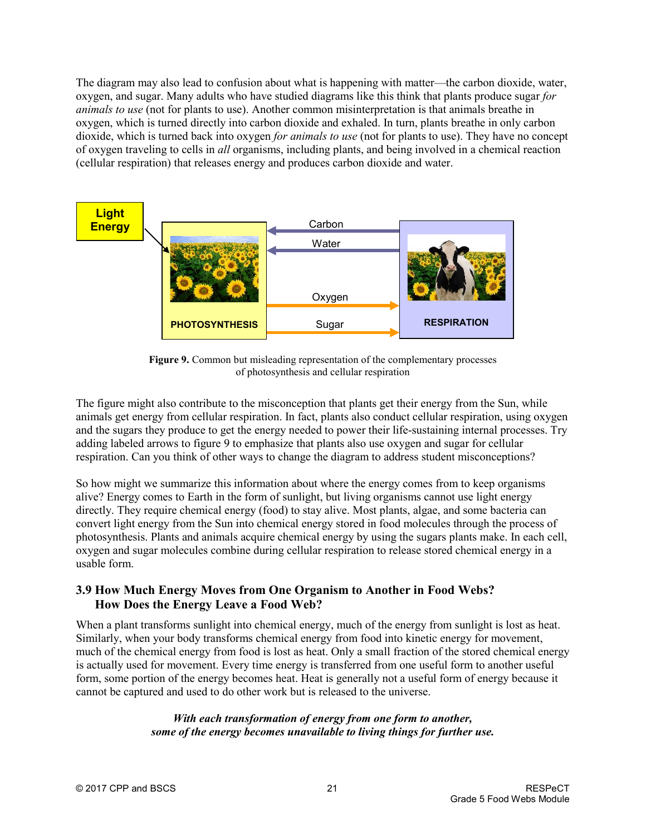The diagram may also lead to confusion about what is happening with matter—the carbon dioxide, water, oxygen, and sugar. Many adults who have studied diagrams like this think that plants produce sugar *for animals to use* (not for plants to use). Another common misinterpretation is that animals breathe in oxygen, which is turned directly into carbon dioxide and exhaled. In turn, plants breathe in only carbon dioxide, which is turned back into oxygen *for animals to use* (not for plants to use). They have no concept of oxygen traveling to cells in *all* organisms, including plants, and being involved in a chemical reaction (cellular respiration) that releases energy and produces carbon dioxide and water.



Figure 9. Common but misleading representation of the complementary processes of photosynthesis and cellular respiration

The figure might also contribute to the misconception that plants get their energy from the Sun, while animals get energy from cellular respiration. In fact, plants also conduct cellular respiration, using oxygen and the sugars they produce to get the energy needed to power their life-sustaining internal processes. Try adding labeled arrows to figure 9 to emphasize that plants also use oxygen and sugar for cellular respiration. Can you think of other ways to change the diagram to address student misconceptions?

So how might we summarize this information about where the energy comes from to keep organisms alive? Energy comes to Earth in the form of sunlight, but living organisms cannot use light energy directly. They require chemical energy (food) to stay alive. Most plants, algae, and some bacteria can convert light energy from the Sun into chemical energy stored in food molecules through the process of photosynthesis. Plants and animals acquire chemical energy by using the sugars plants make. In each cell, oxygen and sugar molecules combine during cellular respiration to release stored chemical energy in a usable form.

### **3.9 How Much Energy Moves from One Organism to Another in Food Webs? How Does the Energy Leave a Food Web?**

When a plant transforms sunlight into chemical energy, much of the energy from sunlight is lost as heat. Similarly, when your body transforms chemical energy from food into kinetic energy for movement, much of the chemical energy from food is lost as heat. Only a small fraction of the stored chemical energy is actually used for movement. Every time energy is transferred from one useful form to another useful form, some portion of the energy becomes heat. Heat is generally not a useful form of energy because it cannot be captured and used to do other work but is released to the universe.

> *With each transformation of energy from one form to another, some of the energy becomes unavailable to living things for further use.*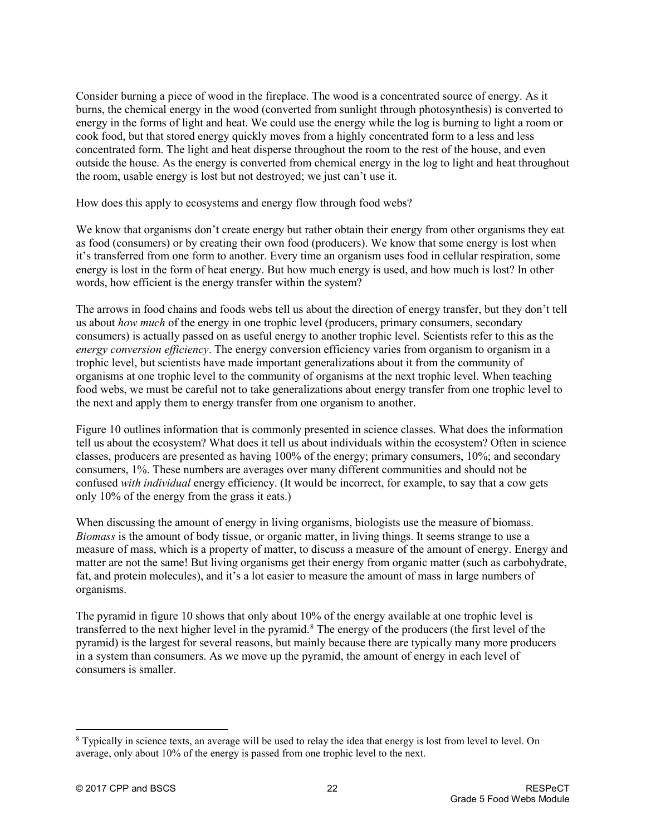Consider burning a piece of wood in the fireplace. The wood is a concentrated source of energy. As it burns, the chemical energy in the wood (converted from sunlight through photosynthesis) is converted to energy in the forms of light and heat. We could use the energy while the log is burning to light a room or cook food, but that stored energy quickly moves from a highly concentrated form to a less and less concentrated form. The light and heat disperse throughout the room to the rest of the house, and even outside the house. As the energy is converted from chemical energy in the log to light and heat throughout the room, usable energy is lost but not destroyed; we just can't use it.

How does this apply to ecosystems and energy flow through food webs?

We know that organisms don't create energy but rather obtain their energy from other organisms they eat as food (consumers) or by creating their own food (producers). We know that some energy is lost when it's transferred from one form to another. Every time an organism uses food in cellular respiration, some energy is lost in the form of heat energy. But how much energy is used, and how much is lost? In other words, how efficient is the energy transfer within the system?

The arrows in food chains and foods webs tell us about the direction of energy transfer, but they don't tell us about *how much* of the energy in one trophic level (producers, primary consumers, secondary consumers) is actually passed on as useful energy to another trophic level. Scientists refer to this as the *energy conversion efficiency*. The energy conversion efficiency varies from organism to organism in a trophic level, but scientists have made important generalizations about it from the community of organisms at one trophic level to the community of organisms at the next trophic level. When teaching food webs, we must be careful not to take generalizations about energy transfer from one trophic level to the next and apply them to energy transfer from one organism to another.

Figure 10 outlines information that is commonly presented in science classes. What does the information tell us about the ecosystem? What does it tell us about individuals within the ecosystem? Often in science classes, producers are presented as having 100% of the energy; primary consumers, 10%; and secondary consumers, 1%. These numbers are averages over many different communities and should not be confused *with individual* energy efficiency. (It would be incorrect, for example, to say that a cow gets only 10% of the energy from the grass it eats.)

When discussing the amount of energy in living organisms, biologists use the measure of biomass. *Biomass* is the amount of body tissue, or organic matter, in living things. It seems strange to use a measure of mass, which is a property of matter, to discuss a measure of the amount of energy. Energy and matter are not the same! But living organisms get their energy from organic matter (such as carbohydrate, fat, and protein molecules), and it's a lot easier to measure the amount of mass in large numbers of organisms.

The pyramid in figure 10 shows that only about 10% of the energy available at one trophic level is transferred to the next higher level in the pyramid.<sup>[8](#page-21-0)</sup> The energy of the producers (the first level of the pyramid) is the largest for several reasons, but mainly because there are typically many more producers in a system than consumers. As we move up the pyramid, the amount of energy in each level of consumers is smaller.

<span id="page-21-0"></span><sup>&</sup>lt;sup>8</sup> Typically in science texts, an average will be used to relay the idea that energy is lost from level to level. On average, only about 10% of the energy is passed from one trophic level to the next.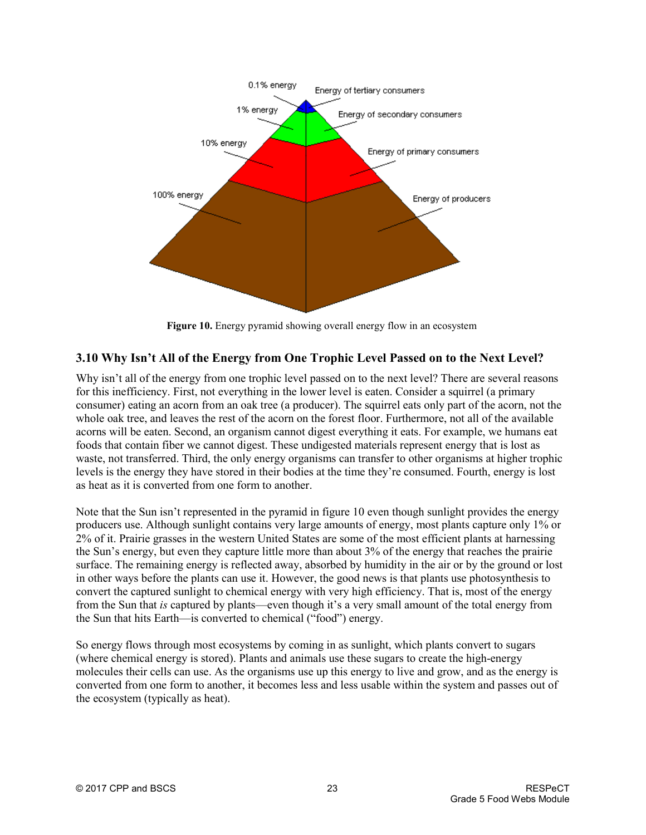

**Figure 10.** Energy pyramid showing overall energy flow in an ecosystem

## **3.10 Why Isn't All of the Energy from One Trophic Level Passed on to the Next Level?**

Why isn't all of the energy from one trophic level passed on to the next level? There are several reasons for this inefficiency. First, not everything in the lower level is eaten. Consider a squirrel (a primary consumer) eating an acorn from an oak tree (a producer). The squirrel eats only part of the acorn, not the whole oak tree, and leaves the rest of the acorn on the forest floor. Furthermore, not all of the available acorns will be eaten. Second, an organism cannot digest everything it eats. For example, we humans eat foods that contain fiber we cannot digest. These undigested materials represent energy that is lost as waste, not transferred. Third, the only energy organisms can transfer to other organisms at higher trophic levels is the energy they have stored in their bodies at the time they're consumed. Fourth, energy is lost as heat as it is converted from one form to another.

Note that the Sun isn't represented in the pyramid in figure 10 even though sunlight provides the energy producers use. Although sunlight contains very large amounts of energy, most plants capture only 1% or 2% of it. Prairie grasses in the western United States are some of the most efficient plants at harnessing the Sun's energy, but even they capture little more than about 3% of the energy that reaches the prairie surface. The remaining energy is reflected away, absorbed by humidity in the air or by the ground or lost in other ways before the plants can use it. However, the good news is that plants use photosynthesis to convert the captured sunlight to chemical energy with very high efficiency. That is, most of the energy from the Sun that *is* captured by plants—even though it's a very small amount of the total energy from the Sun that hits Earth—is converted to chemical ("food") energy.

So energy flows through most ecosystems by coming in as sunlight, which plants convert to sugars (where chemical energy is stored). Plants and animals use these sugars to create the high-energy molecules their cells can use. As the organisms use up this energy to live and grow, and as the energy is converted from one form to another, it becomes less and less usable within the system and passes out of the ecosystem (typically as heat).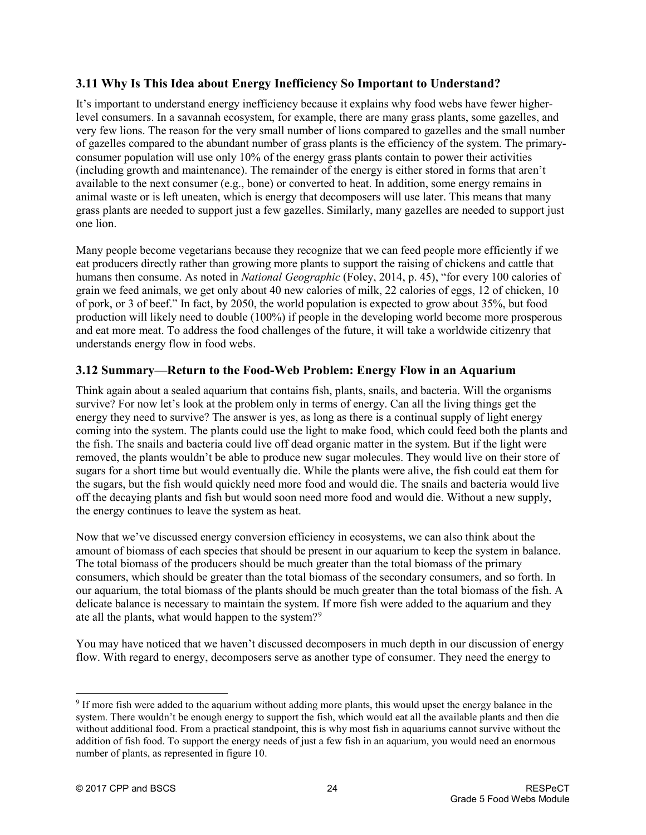## **3.11 Why Is This Idea about Energy Inefficiency So Important to Understand?**

It's important to understand energy inefficiency because it explains why food webs have fewer higherlevel consumers. In a savannah ecosystem, for example, there are many grass plants, some gazelles, and very few lions. The reason for the very small number of lions compared to gazelles and the small number of gazelles compared to the abundant number of grass plants is the efficiency of the system. The primaryconsumer population will use only 10% of the energy grass plants contain to power their activities (including growth and maintenance). The remainder of the energy is either stored in forms that aren't available to the next consumer (e.g., bone) or converted to heat. In addition, some energy remains in animal waste or is left uneaten, which is energy that decomposers will use later. This means that many grass plants are needed to support just a few gazelles. Similarly, many gazelles are needed to support just one lion.

Many people become vegetarians because they recognize that we can feed people more efficiently if we eat producers directly rather than growing more plants to support the raising of chickens and cattle that humans then consume. As noted in *National Geographic* (Foley, 2014, p. 45), "for every 100 calories of grain we feed animals, we get only about 40 new calories of milk, 22 calories of eggs, 12 of chicken, 10 of pork, or 3 of beef." In fact, by 2050, the world population is expected to grow about 35%, but food production will likely need to double (100%) if people in the developing world become more prosperous and eat more meat. To address the food challenges of the future, it will take a worldwide citizenry that understands energy flow in food webs.

### **3.12 Summary—Return to the Food-Web Problem: Energy Flow in an Aquarium**

Think again about a sealed aquarium that contains fish, plants, snails, and bacteria. Will the organisms survive? For now let's look at the problem only in terms of energy. Can all the living things get the energy they need to survive? The answer is yes, as long as there is a continual supply of light energy coming into the system. The plants could use the light to make food, which could feed both the plants and the fish. The snails and bacteria could live off dead organic matter in the system. But if the light were removed, the plants wouldn't be able to produce new sugar molecules. They would live on their store of sugars for a short time but would eventually die. While the plants were alive, the fish could eat them for the sugars, but the fish would quickly need more food and would die. The snails and bacteria would live off the decaying plants and fish but would soon need more food and would die. Without a new supply, the energy continues to leave the system as heat.

Now that we've discussed energy conversion efficiency in ecosystems, we can also think about the amount of biomass of each species that should be present in our aquarium to keep the system in balance. The total biomass of the producers should be much greater than the total biomass of the primary consumers, which should be greater than the total biomass of the secondary consumers, and so forth. In our aquarium, the total biomass of the plants should be much greater than the total biomass of the fish. A delicate balance is necessary to maintain the system. If more fish were added to the aquarium and they ate all the plants, what would happen to the system?<sup>[9](#page-23-0)</sup>

You may have noticed that we haven't discussed decomposers in much depth in our discussion of energy flow. With regard to energy, decomposers serve as another type of consumer. They need the energy to

<span id="page-23-0"></span> <sup>9</sup> If more fish were added to the aquarium without adding more plants, this would upset the energy balance in the system. There wouldn't be enough energy to support the fish, which would eat all the available plants and then die without additional food. From a practical standpoint, this is why most fish in aquariums cannot survive without the addition of fish food. To support the energy needs of just a few fish in an aquarium, you would need an enormous number of plants, as represented in figure 10.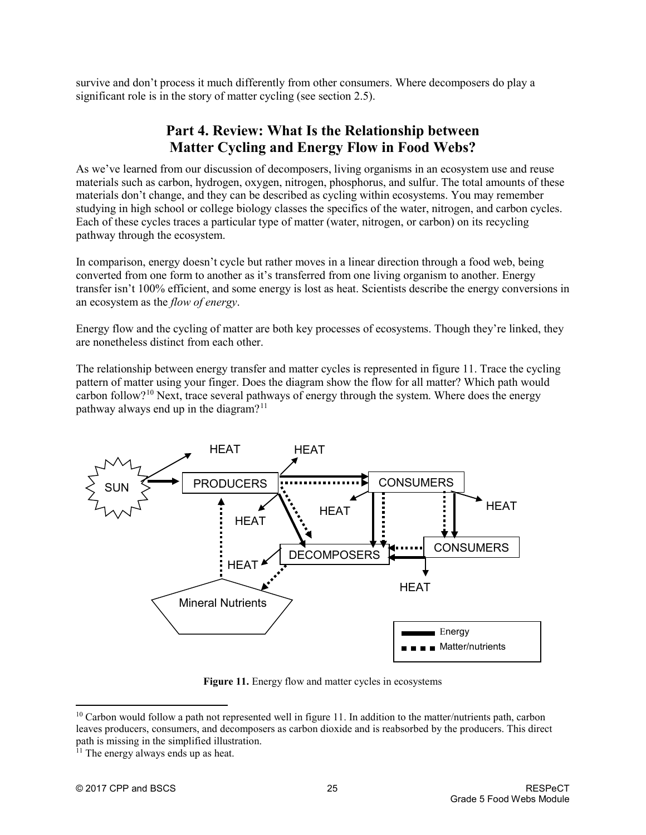survive and don't process it much differently from other consumers. Where decomposers do play a significant role is in the story of matter cycling (see section 2.5).

# **Part 4. Review: What Is the Relationship between Matter Cycling and Energy Flow in Food Webs?**

As we've learned from our discussion of decomposers, living organisms in an ecosystem use and reuse materials such as carbon, hydrogen, oxygen, nitrogen, phosphorus, and sulfur. The total amounts of these materials don't change, and they can be described as cycling within ecosystems. You may remember studying in high school or college biology classes the specifics of the water, nitrogen, and carbon cycles. Each of these cycles traces a particular type of matter (water, nitrogen, or carbon) on its recycling pathway through the ecosystem.

In comparison, energy doesn't cycle but rather moves in a linear direction through a food web, being converted from one form to another as it's transferred from one living organism to another. Energy transfer isn't 100% efficient, and some energy is lost as heat. Scientists describe the energy conversions in an ecosystem as the *flow of energy*.

Energy flow and the cycling of matter are both key processes of ecosystems. Though they're linked, they are nonetheless distinct from each other.

The relationship between energy transfer and matter cycles is represented in figure 11. Trace the cycling pattern of matter using your finger. Does the diagram show the flow for all matter? Which path would carbon follow?[10](#page-24-0) Next, trace several pathways of energy through the system. Where does the energy pathway always end up in the diagram?<sup>[11](#page-24-1)</sup>



Figure 11. Energy flow and matter cycles in ecosystems

<span id="page-24-0"></span> $10$  Carbon would follow a path not represented well in figure 11. In addition to the matter/nutrients path, carbon leaves producers, consumers, and decomposers as carbon dioxide and is reabsorbed by the producers. This direct path is missing in the simplified illustration.

<span id="page-24-1"></span><sup>&</sup>lt;sup>11</sup> The energy always ends up as heat.